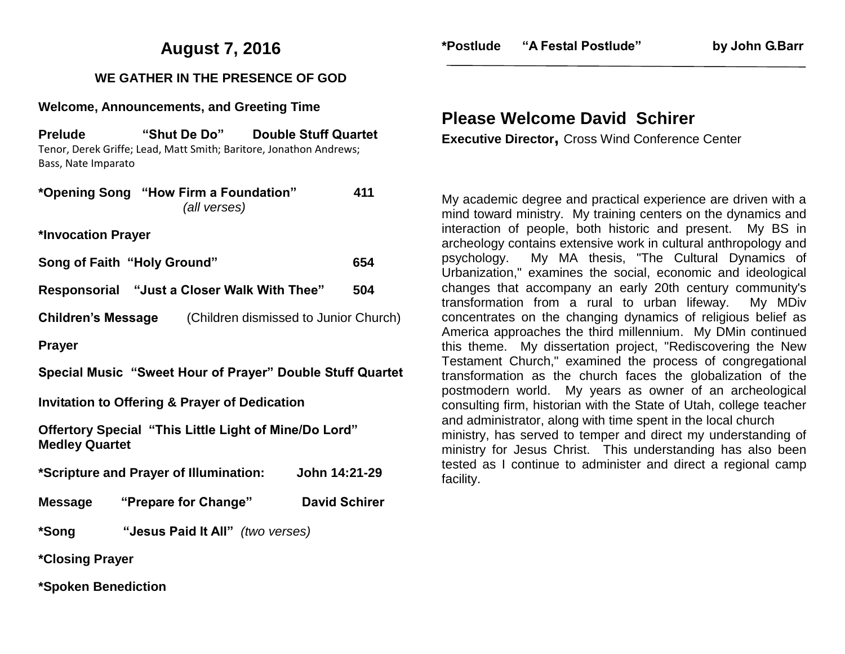## **August 7, 2016**

### **WE GATHER IN THE PRESENCE OF GOD**

#### **Welcome, Announcements, and Greeting Time**

**Prelude "Shut De Do" Double Stuff Quartet** Tenor, Derek Griffe; Lead, Matt Smith; Baritore, Jonathon Andrews; Bass, Nate Imparato

|                                                          | *Opening Song "How Firm a Foundation"<br>(all verses)           | 411                  |  |
|----------------------------------------------------------|-----------------------------------------------------------------|----------------------|--|
| *Invocation Prayer                                       |                                                                 |                      |  |
|                                                          | Song of Faith "Holy Ground"                                     | 654                  |  |
|                                                          | Responsorial "Just a Closer Walk With Thee"                     | 504                  |  |
|                                                          | <b>Children's Message</b> (Children dismissed to Junior Church) |                      |  |
| <b>Prayer</b>                                            |                                                                 |                      |  |
|                                                          | Special Music "Sweet Hour of Prayer" Double Stuff Quartet       |                      |  |
| <b>Invitation to Offering &amp; Prayer of Dedication</b> |                                                                 |                      |  |
| <b>Medley Quartet</b>                                    | Offertory Special "This Little Light of Mine/Do Lord"           |                      |  |
| *Scripture and Prayer of Illumination: John 14:21-29     |                                                                 |                      |  |
|                                                          | Message "Prepare for Change"                                    | <b>David Schirer</b> |  |
| *Song                                                    | "Jesus Paid It All" (two verses)                                |                      |  |
| *Closing Prayer                                          |                                                                 |                      |  |
| *Spoken Benediction                                      |                                                                 |                      |  |

### **Please Welcome David Schirer**

**Executive Director,** Cross Wind Conference Center

My academic degree and practical experience are driven with a mind toward ministry. My training centers on the dynamics and interaction of people, both historic and present. My BS in archeology contains extensive work in cultural anthropology and psychology. My MA thesis, "The Cultural Dynamics of Urbanization," examines the social, economic and ideological changes that accompany an early 20th century community's transformation from a rural to urban lifeway. My MDiv concentrates on the changing dynamics of religious belief as America approaches the third millennium. My DMin continued this theme. My dissertation project, "Rediscovering the New Testament Church," examined the process of congregational transformation as the church faces the globalization of the postmodern world. My years as owner of an archeological consulting firm, historian with the State of Utah, college teacher and administrator, along with time spent in the local church ministry, has served to temper and direct my understanding of ministry for Jesus Christ. This understanding has also been tested as I continue to administer and direct a regional camp facility.